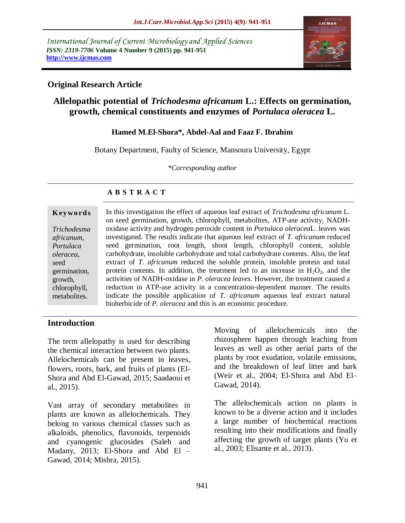*International Journal of Current Microbiology and Applied Sciences ISSN: 2319-7706* **Volume 4 Number 9 (2015) pp. 941-951 http://www.ijcmas.com** 



## **Original Research Article**

# **Allelopathic potential of** *Trichodesma africanum* **L.: Effects on germination, growth, chemical constituents and enzymes of** *Portulaca oleracea* **L.**

### **Hamed M.El-Shora\*, Abdel-Aal and Faaz F. Ibrahim**

Botany Department, Faulty of Science, Mansoura University, Egypt

*\*Corresponding author*

# **A B S T R A C T**

#### **K ey w o rd s**

*Trichodesma africanum, Portulaca oleracea,* seed germination, growth, chlorophyll, metabolites.

In this investigation the effect of aqueous leaf extract of *Trichodesma africanum* L. on seed germination, growth, chlorophyll, metabolites, ATP-ase activity, NADHoxidase activity and hydrogen peroxide content in *Portulaca oleracea*L. leaves was investigated. The results indicate that aqueous leaf extract of *T. africanum* reduced seed germination, root length, shoot length, chlorophyll content, soluble carbohydrate, insoluble carbohydrate and total carbohydrate contents. Also, the leaf extract of *T. africanum* reduced the soluble protein, insoluble protein and total protein contents. In addition, the treatment led to an increase in  $H_2O_2$ , and the activities of NADH-oxidase in *P. oleracea leaves*. However, the treatment caused a reduction in ATP-ase activity in a concentration-dependent manner. The results indicate the possible application of *T. africanum* aqueous leaf extract natural bioherbicide of *P. oleracea* and this is an economic procedure.

### **Introduction**

The term allelopathy is used for describing the chemical interaction between two plants. Allelochemicals can be present in leaves, flowers, roots, bark, and fruits of plants (El-Shora and Abd El-Gawad, 2015; Saadaoui et al., 2015).

Vast array of secondary metabolites in plants are known as allelochemicals. They belong to various chemical classes such as alkaloids, phenolics, flavonoids, terpenoids and cyanogenic glucosides (Saleh and Madany, 2013; El-Shora and Abd El – Gawad, 2014; Mishra, 2015).

Moving of allelochemicals into the rhizosphere happen through leaching from leaves as well as other aerial parts of the plants by root exudation, volatile emissions, and the breakdown of leaf litter and bark (Weir et al., 2004; El-Shora and Abd El– Gawad, 2014).

The allelochemicals action on plants is known to be a diverse action and it includes a large number of biochemical reactions resulting into their modifications and finally affecting the growth of target plants (Yu et al., 2003; Elisante et al., 2013).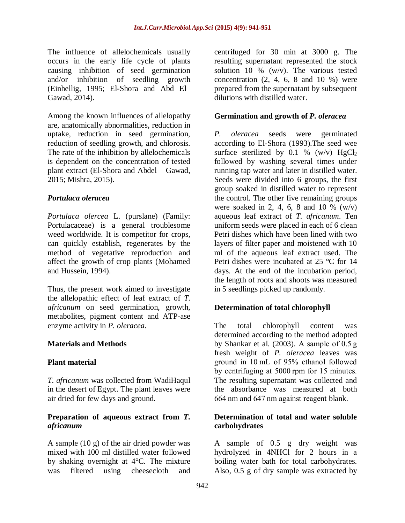The influence of allelochemicals usually occurs in the early life cycle of plants causing inhibition of seed germination and/or inhibition of seedling growth (Einhellig, 1995; El-Shora and Abd El– Gawad, 2014).

Among the known influences of allelopathy are, anatomically abnormalities, reduction in uptake, reduction in seed germination, reduction of seedling growth, and chlorosis. The rate of the inhibition by allelochemicals is dependent on the concentration of tested plant extract (El-Shora and Abdel – Gawad, 2015; Mishra, 2015).

### *Portulaca oleracea*

*Portulaca olercea* L. (purslane) (Family: Portulacaceae) is a general troublesome weed worldwide. It is competitor for crops, can quickly establish, regenerates by the method of vegetative reproduction and affect the growth of crop plants (Mohamed and Hussein, 1994).

Thus, the present work aimed to investigate the allelopathic effect of leaf extract of *T. africanum* on seed germination, growth, metabolites, pigment content and ATP-ase enzyme activity in *P. oleracea*.

### **Materials and Methods**

### **Plant material**

*T. africanum* was collected from WadiHaqul in the desert of Egypt. The plant leaves were air dried for few days and ground.

### **Preparation of aqueous extract from** *T. africanum*

A sample (10 g) of the air dried powder was mixed with 100 ml distilled water followed by shaking overnight at 4°C. The mixture was filtered using cheesecloth and

centrifuged for 30 min at 3000 g. The resulting supernatant represented the stock solution 10 % (w/v). The various tested concentration  $(2, 4, 6, 8, 10, 10, 10)$  were prepared from the supernatant by subsequent dilutions with distilled water.

### **Germination and growth of** *P. oleracea*

*P. oleracea* seeds were germinated according to El-Shora (1993).The seed wee surface sterilized by 0.1 % (w/v)  $HgCl<sub>2</sub>$ followed by washing several times under running tap water and later in distilled water. Seeds were divided into 6 groups, the first group soaked in distilled water to represent the control. The other five remaining groups were soaked in 2, 4, 6, 8 and 10 %  $(w/v)$ aqueous leaf extract of *T. africanum*. Ten uniform seeds were placed in each of 6 clean Petri dishes which have been lined with two layers of filter paper and moistened with 10 ml of the aqueous leaf extract used. The Petri dishes were incubated at 25 °C for 14 days. At the end of the incubation period, the length of roots and shoots was measured in 5 seedlings picked up randomly.

### **Determination of total chlorophyll**

The total chlorophyll content was determined according to the method adopted by Shankar et al. (2003). A sample of  $0.5 g$ fresh weight of *P. oleracea* leaves was ground in 10 mL of 95% ethanol followed by centrifuging at 5000 rpm for 15 minutes. The resulting supernatant was collected and the absorbance was measured at both 664 nm and 647 nm against reagent blank.

### **Determination of total and water soluble carbohydrates**

A sample of 0.5 g dry weight was hydrolyzed in 4NHCl for 2 hours in a boiling water bath for total carbohydrates. Also, 0.5 g of dry sample was extracted by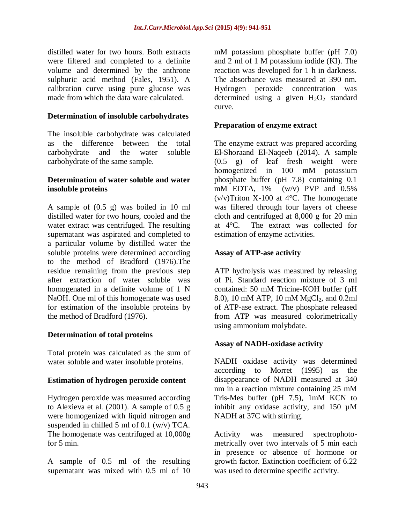distilled water for two hours. Both extracts were filtered and completed to a definite volume and determined by the anthrone sulphuric acid method (Fales, 1951). A calibration curve using pure glucose was made from which the data ware calculated.

### **Determination of insoluble carbohydrates**

The insoluble carbohydrate was calculated as the difference between the total carbohydrate and the water soluble carbohydrate of the same sample.

### **Determination of water soluble and water insoluble proteins**

A sample of (0.5 g) was boiled in 10 ml distilled water for two hours, cooled and the water extract was centrifuged. The resulting supernatant was aspirated and completed to a particular volume by distilled water the soluble proteins were determined according to the method of Bradford (1976).The residue remaining from the previous step after extraction of water soluble was homogenated in a definite volume of 1 N NaOH. One ml of this homogenate was used for estimation of the insoluble proteins by the method of Bradford (1976).

### **Determination of total proteins**

Total protein was calculated as the sum of water soluble and water insoluble proteins.

### **Estimation of hydrogen peroxide content**

Hydrogen peroxide was measured according to Alexieva et al. (2001). A sample of 0.5 g were homogenized with liquid nitrogen and suspended in chilled 5 ml of 0.1 (w/v) TCA. The homogenate was centrifuged at 10,000g for 5 min.

A sample of 0.5 ml of the resulting supernatant was mixed with 0.5 ml of 10 mM potassium phosphate buffer (pH 7.0) and 2 ml of 1 M potassium iodide (KI). The reaction was developed for 1 h in darkness. The absorbance was measured at 390 nm. Hydrogen peroxide concentration was determined using a given  $H_2O_2$  standard curve.

### **Preparation of enzyme extract**

The enzyme extract was prepared according El-Shoraand El-Naqeeb (2014). A sample (0.5 g) of leaf fresh weight were homogenized in 100 mM potassium phosphate buffer (pH 7.8) containing 0.1 mM EDTA,  $1\%$  (w/v) PVP and  $0.5\%$  $(v/v)$ Triton X-100 at 4 $\degree$ C. The homogenate was filtered through four layers of cheese cloth and centrifuged at 8,000 g for 20 min at 4°C. The extract was collected for estimation of enzyme activities.

## **Assay of ATP-ase activity**

ATP hydrolysis was measured by releasing of Pi. Standard reaction mixture of 3 ml contained: 50 mM Tricine-KOH buffer (pH 8.0), 10 mM ATP, 10 mM MgCl<sub>2</sub>, and 0.2ml of ATP-ase extract. The phosphate released from ATP was measured colorimetrically using ammonium molybdate.

### **Assay of NADH-oxidase activity**

NADH oxidase activity was determined according to Morret (1995) as the disappearance of NADH measured at 340 nm in a reaction mixture containing 25 mM Tris-Mes buffer (pH 7.5), 1mM KCN to inhibit any oxidase activity, and 150 µM NADH at 37C with stirring.

Activity was measured spectrophotometrically over two intervals of 5 min each in presence or absence of hormone or growth factor. Extinction coefficient of 6.22 was used to determine specific activity.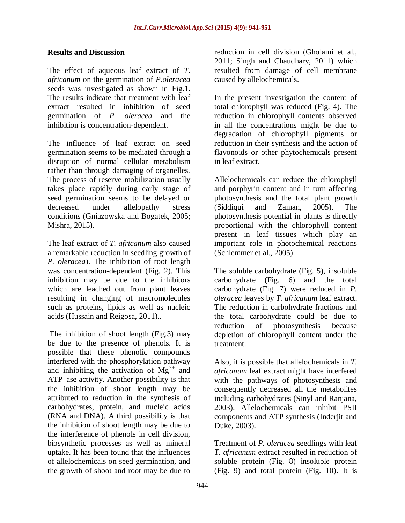### **Results and Discussion**

The effect of aqueous leaf extract of *T. africanum* on the germination of *P.oleracea* seeds was investigated as shown in Fig.1. The results indicate that treatment with leaf extract resulted in inhibition of seed germination of *P. oleracea* and the inhibition is concentration-dependent.

The influence of leaf extract on seed germination seems to be mediated through a disruption of normal cellular metabolism rather than through damaging of organelles. The process of reserve mobilization usually takes place rapidly during early stage of seed germination seems to be delayed or decreased under allelopathy stress conditions (Gniazowska and Bogatek, 2005; Mishra, 2015).

The leaf extract of *T. africanum* also caused a remarkable reduction in seedling growth of *P. oleracea*). The inhibition of root length was concentration-dependent (Fig. 2). This inhibition may be due to the inhibitors which are leached out from plant leaves resulting in changing of macromolecules such as proteins, lipids as well as nucleic acids (Hussain and Reigosa, 2011)..

The inhibition of shoot length (Fig.3) may be due to the presence of phenols. It is possible that these phenolic compounds interfered with the phosphorylation pathway and inhibiting the activation of  $Mg^{2+}$  and ATP–ase activity. Another possibility is that the inhibition of shoot length may be attributed to reduction in the synthesis of carbohydrates, protein, and nucleic acids (RNA and DNA). A third possibility is that the inhibition of shoot length may be due to the interference of phenols in cell division, biosynthetic processes as well as mineral uptake. It has been found that the influences of allelochemicals on seed germination, and the growth of shoot and root may be due to

reduction in cell division (Gholami et al., 2011; Singh and Chaudhary, 2011) which resulted from damage of cell membrane caused by allelochemicals.

In the present investigation the content of total chlorophyll was reduced (Fig. 4). The reduction in chlorophyll contents observed in all the concentrations might be due to degradation of chlorophyll pigments or reduction in their synthesis and the action of flavonoids or other phytochemicals present in leaf extract.

Allelochemicals can reduce the chlorophyll and porphyrin content and in turn affecting photosynthesis and the total plant growth (Siddiqui and Zaman, 2005). The photosynthesis potential in plants is directly proportional with the chlorophyll content present in leaf tissues which play an important role in photochemical reactions (Schlemmer et al., 2005).

The soluble carbohydrate (Fig. 5), insoluble carbohydrate (Fig. 6) and the total carbohydrate (Fig. 7) were reduced in *P. oleracea* leaves by *T. africanum* leaf extract. The reduction in carbohydrate fractions and the total carbohydrate could be due to reduction of photosynthesis because depletion of chlorophyll content under the treatment.

Also, it is possible that allelochemicals in *T. africanum* leaf extract might have interfered with the pathways of photosynthesis and consequently decreased all the metabolites including carbohydrates (Sinyl and Ranjana, 2003). Allelochemicals can inhibit PSII components and ATP synthesis (Inderjit and Duke, 2003).

Treatment of *P. oleracea* seedlings with leaf *T. africanum* extract resulted in reduction of soluble protein (Fig. 8) insoluble protein (Fig. 9) and total protein (Fig. 10). It is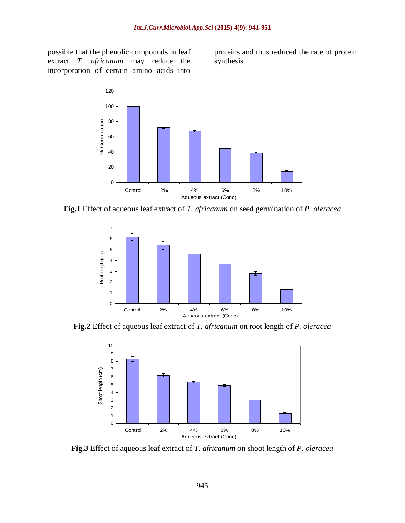possible that the phenolic compounds in leaf extract *T. africanum* may reduce the incorporation of certain amino acids into

proteins and thus reduced the rate of protein synthesis.



**Fig.1** Effect of aqueous leaf extract of *T. africanum* on seed germination of *P. oleracea*



**Fig.2** Effect of aqueous leaf extract of *T. africanum* on root length of *P. oleracea*



**Fig.3** Effect of aqueous leaf extract of *T. africanum* on shoot length of *P. oleracea*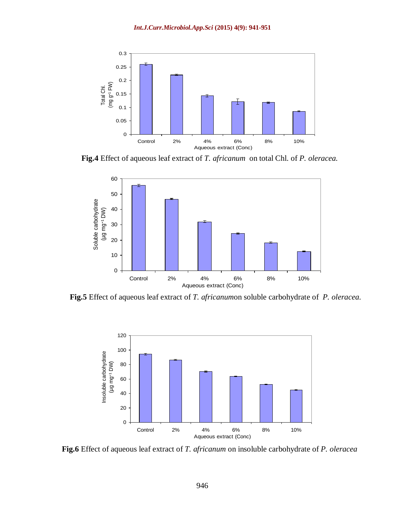

**Fig.4** Effect of aqueous leaf extract of *T. africanum* on total Chl. of *P. oleracea.*



**Fig.5** Effect of aqueous leaf extract of *T. africanum*on soluble carbohydrate of *P. oleracea.*



**Fig.6** Effect of aqueous leaf extract of *T. africanum* on insoluble carbohydrate of *P. oleracea*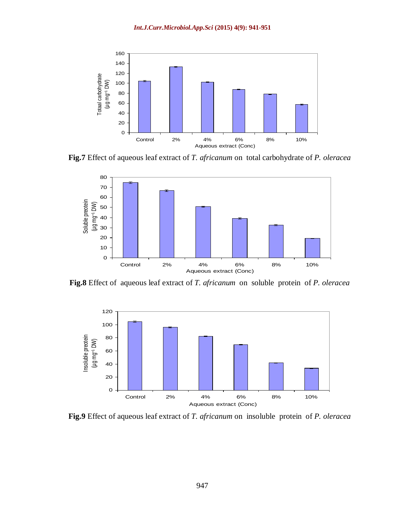

**Fig.7** Effect of aqueous leaf extract of *T. africanum* on total carbohydrate of *P. oleracea*



**Fig.8** Effect of aqueous leaf extract of *T. africanum* on soluble protein of *P. oleracea*



**Fig.9** Effect of aqueous leaf extract of *T. africanum* on insoluble protein of *P. oleracea*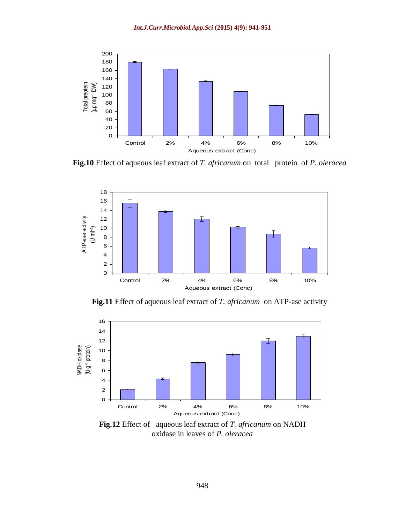

**Fig.10** Effect of aqueous leaf extract of *T. africanum* on total protein of *P. oleracea*



**Fig.11** Effect of aqueous leaf extract of *T. africanum* on ATP-ase activity



**Fig.12** Effect of aqueous leaf extract of *T. africanum* on NADH oxidase in leaves of *P. oleracea*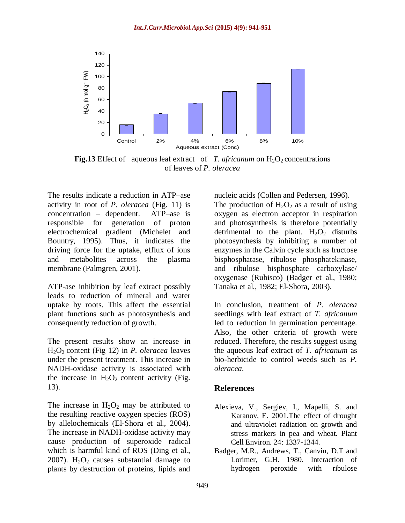

**Fig.13** Effect of aqueous leaf extract of *T. africanum* on  $H_2O_2$  concentrations of leaves of *P. oleracea*

The results indicate a reduction in ATP–ase activity in root of *P. oleracea* (Fig. 11) is concentration – dependent. ATP–ase is responsible for generation of proton electrochemical gradient (Michelet and Bountry, 1995). Thus, it indicates the driving force for the uptake, efflux of ions and metabolites across the plasma membrane (Palmgren, 2001).

ATP-ase inhibition by leaf extract possibly leads to reduction of mineral and water uptake by roots. This affect the essential plant functions such as photosynthesis and consequently reduction of growth.

The present results show an increase in H2O<sup>2</sup> content (Fig 12) in *P. oleracea* leaves under the present treatment. This increase in NADH-oxidase activity is associated with the increase in  $H_2O_2$  content activity (Fig. 13).

The increase in  $H_2O_2$  may be attributed to the resulting reactive oxygen species (ROS) by allelochemicals (El-Shora et al., 2004). The increase in NADH-oxidase activity may cause production of superoxide radical which is harmful kind of ROS (Ding et al., 2007).  $H_2O_2$  causes substantial damage to plants by destruction of proteins, lipids and

nucleic acids (Collen and Pedersen, 1996). The production of  $H_2O_2$  as a result of using oxygen as electron acceptor in respiration and photosynthesis is therefore potentially detrimental to the plant.  $H_2O_2$  disturbs photosynthesis by inhibiting a number of enzymes in the Calvin cycle such as fructose bisphosphatase, ribulose phosphatekinase, and ribulose bisphosphate carboxylase/ oxygenase (Rubisco) (Badger et al., 1980; Tanaka et al., 1982; El-Shora, 2003).

In conclusion, treatment of *P. oleracea* seedlings with leaf extract of *T. africanum* led to reduction in germination percentage. Also, the other criteria of growth were reduced. Therefore, the results suggest using the aqueous leaf extract of *T*. *africanum* as bio-herbicide to control weeds such as *P. oleracea*.

#### **References**

- Alexieva, V., Sergiev, I., Mapelli, S. and Karanov, E. 2001.The effect of drought and ultraviolet radiation on growth and stress markers in pea and wheat. Plant Cell Environ. 24: 1337-1344.
- Badger, M.R., Andrews, T., Canvin, D.T and Lorimer, G.H. 1980. Interaction of hydrogen peroxide with ribulose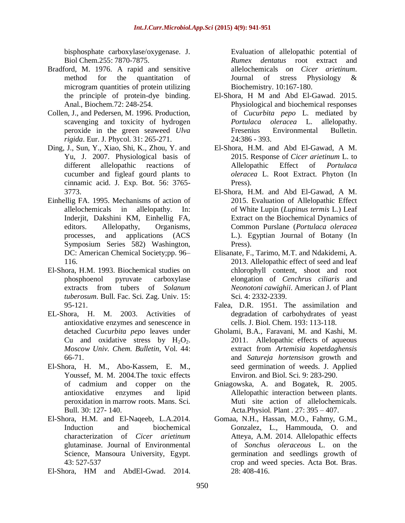bisphosphate carboxylase/oxygenase. J. Biol Chem.255: 7870-7875.

- Bradford, M. 1976. A rapid and sensitive method for the quantitation of microgram quantities of protein utilizing the principle of protein-dye binding. Anal., Biochem.72: 248-254.
- Collen, J., and Pedersen, M. 1996. Production, scavenging and toxicity of hydrogen peroxide in the green seaweed *Ulva rigida*. Eur. J. Phycol. 31: 265-271.
- Ding, J., Sun, Y., Xiao, Shi, K., Zhou, Y. and Yu, J. 2007. Physiological basis of different allelopathic reactions of cucumber and figleaf gourd plants to cinnamic acid. J. Exp. Bot. 56: 3765- 3773.
- Einhellig FA. 1995. Mechanisms of action of allelochemicals in allelopathy. In: Inderjit, Dakshini KM, Einhellig FA, editors. Allelopathy, Organisms, processes, and applications (ACS Symposium Series 582) Washington, DC: American Chemical Society;pp. 96– 116.
- El-Shora, H.M. 1993. Biochemical studies on phosphoenol pyruvate carboxylase extracts from tubers of *Solanum tuberosum*. Bull. Fac. Sci. Zag. Univ. 15: 95-121.
- EL-Shora, H. M. 2003. Activities of antioxidative enzymes and senescence in detached *Cucurbita pepo* leaves under Cu and oxidative stress by  $H_2O_2$ . *Moscow Univ. Chem. Bulletin*, Vol. 44: 66-71.
- El-Shora, H. M., Abo-Kassem, E. M., Youssef, M. M. 2004.The toxic effects of cadmium and copper on the antioxidative enzymes and lipid peroxidation in marrow roots. Mans. Sci. Bull. 30: 127- 140.
- El-Shora, H.M. and El-Naqeeb, L.A.2014. Induction and biochemical characterization of *Cicer arietinum* glutaminase. Journal of Environmental Science, Mansoura University, Egypt. 43: 527-537
- El-Shora, HM and AbdEl-Gwad. 2014.

Evaluation of allelopathic potential of *Rumex dentatus* root extract and allelochemicals *on Cicer arietinum*. [Journal of stress Physiology &](http://cyberleninka.ru/journal/n/journal-of-stress-physiology-biochemistry) [Biochemistry.](http://cyberleninka.ru/journal/n/journal-of-stress-physiology-biochemistry) 10:167-180.

- El-Shora, H M and Abd El-Gawad. 2015. Physiological and biochemical responses of *Cucurbita pepo* L. mediated by *Portulaca oleracea* L. allelopathy. [Fresenius Environmental Bulletin.](http://www.researchgate.net/journal/1018-4619_Fresenius_Environmental_Bulletin) 24:386 - 393.
- El-Shora, H.M. and Abd El-Gawad, A M. 2015. Response of *Cicer arietinum* L. to Allelopathic Effect of *Portulaca oleracea* L. Root Extract. Phyton (In Press).
- El-Shora, H.M. and Abd El-Gawad, A M. 2015. Evaluation of Allelopathic Effect of White Lupin (*Lupinus termis* L.) Leaf Extract on the Biochemical Dynamics of Common Purslane (*Portulaca oleracea* L.). Egyptian Journal of Botany (In Press).
- Elisanate, F., Tarimo, M.T. and Ndakidemi, A. 2013. Allelopathic effect of seed and leaf chlorophyll content, shoot and root elongation of *Cenchrus ciliaris* and *Neonotoni cawighii*. American J. of Plant Sci. 4: 2332-2339.
- Falea, D.R. 1951. The assimilation and degradation of carbohydrates of yeast cells. J. Biol. Chem. 193: 113-118.
- Gholami, B.A., Faravani, M. and Kashi, M. 2011. Allelopathic effects of aqueous extract from *Artemisia kopetdaghensis* and *Satureja hortensison* growth and seed germination of weeds. J. Applied Environ. and Biol. Sci. 9: 283-290.
- Gniagowska, A. and Bogatek, R. 2005. Allelopathic interaction between plants. Muti site action of allelochemicals. Acta.Physiol. Plant . 27: 395 – 407.
- Gomaa, N.H., Hassan, M.O., Fahmy, G.M., Gonzalez, L., Hammouda, O. and Atteya, A.M. 2014. Allelopathic effects of *Sonchus oleraceous* L. on the germination and seedlings growth of crop and weed species. Acta Bot. Bras.  $28 \cdot 408 - 416$